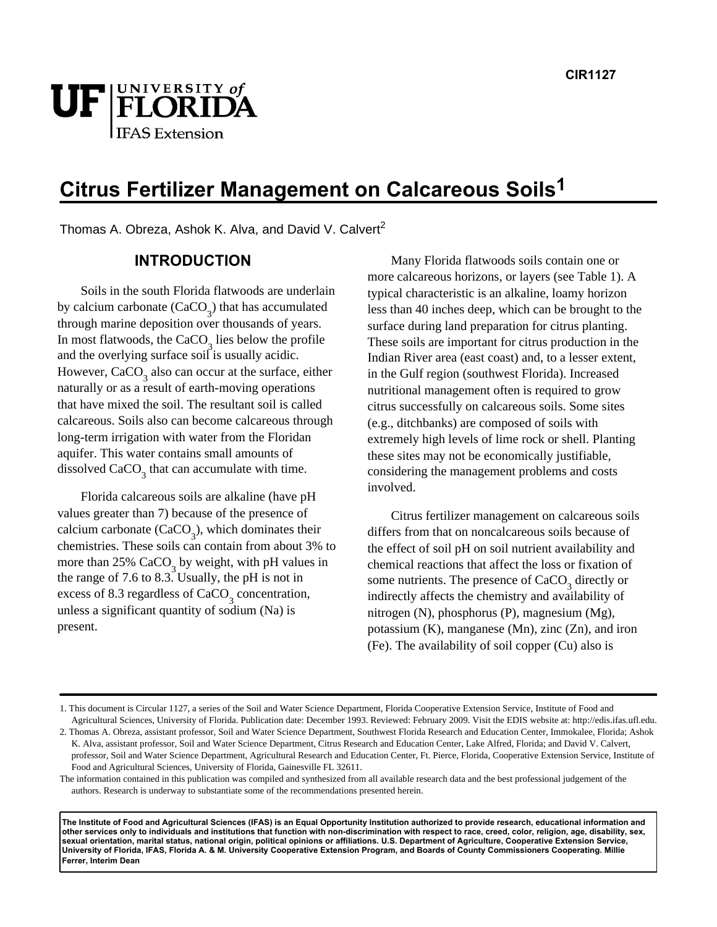# UF FLORIDA l IFAS Extension

# **Citrus Fertilizer Management on Calcareous Soils1**

Thomas A. Obreza, Ashok K. Alva, and David V. Calvert<sup>2</sup>

### **INTRODUCTION**

Soils in the south Florida flatwoods are underlain by calcium carbonate  $(CaCO<sub>3</sub>)$  that has accumulated through marine deposition over thousands of years. In most flatwoods, the CaCO<sub>3</sub> lies below the profile and the overlying surface soil is usually acidic. However,  $CaCO<sub>3</sub>$  also can occur at the surface, either naturally or as a result of earth-moving operations that have mixed the soil. The resultant soil is called calcareous. Soils also can become calcareous through long-term irrigation with water from the Floridan aquifer. This water contains small amounts of dissolved  $CaCO<sub>3</sub>$  that can accumulate with time.

Florida calcareous soils are alkaline (have pH values greater than 7) because of the presence of calcium carbonate  $(CaCO<sub>3</sub>)$ , which dominates their chemistries. These soils can contain from about 3% to more than 25% CaCO<sub>3</sub> by weight, with pH values in the range of 7.6 to 8.3. Usually, the pH is not in excess of 8.3 regardless of  $CaCO<sub>3</sub>$  concentration, unless a significant quantity of sodium (Na) is present.

Many Florida flatwoods soils contain one or more calcareous horizons, or layers (see Table 1). A typical characteristic is an alkaline, loamy horizon less than 40 inches deep, which can be brought to the surface during land preparation for citrus planting. These soils are important for citrus production in the Indian River area (east coast) and, to a lesser extent, in the Gulf region (southwest Florida). Increased nutritional management often is required to grow citrus successfully on calcareous soils. Some sites (e.g., ditchbanks) are composed of soils with extremely high levels of lime rock or shell. Planting these sites may not be economically justifiable, considering the management problems and costs involved.

Citrus fertilizer management on calcareous soils differs from that on noncalcareous soils because of the effect of soil pH on soil nutrient availability and chemical reactions that affect the loss or fixation of some nutrients. The presence of  $CaCO<sub>3</sub>$  directly or indirectly affects the chemistry and availability of nitrogen (N), phosphorus (P), magnesium (Mg), potassium (K), manganese (Mn), zinc (Zn), and iron (Fe). The availability of soil copper (Cu) also is

**The Institute of Food and Agricultural Sciences (IFAS) is an Equal Opportunity Institution authorized to provide research, educational information and other services only to individuals and institutions that function with non-discrimination with respect to race, creed, color, religion, age, disability, sex, sexual orientation, marital status, national origin, political opinions or affiliations. U.S. Department of Agriculture, Cooperative Extension Service, University of Florida, IFAS, Florida A. & M. University Cooperative Extension Program, and Boards of County Commissioners Cooperating. Millie Ferrer, Interim Dean** 

<sup>1.</sup> This document is Circular 1127, a series of the Soil and Water Science Department, Florida Cooperative Extension Service, Institute of Food and Agricultural Sciences, University of Florida. Publication date: December 1993. Reviewed: February 2009. Visit the EDIS website at: http://edis.ifas.ufl.edu.

<sup>2.</sup> Thomas A. Obreza, assistant professor, Soil and Water Science Department, Southwest Florida Research and Education Center, Immokalee, Florida; Ashok K. Alva, assistant professor, Soil and Water Science Department, Citrus Research and Education Center, Lake Alfred, Florida; and David V. Calvert, professor, Soil and Water Science Department, Agricultural Research and Education Center, Ft. Pierce, Florida, Cooperative Extension Service, Institute of Food and Agricultural Sciences, University of Florida, Gainesville FL 32611.

The information contained in this publication was compiled and synthesized from all available research data and the best professional judgement of the authors. Research is underway to substantiate some of the recommendations presented herein.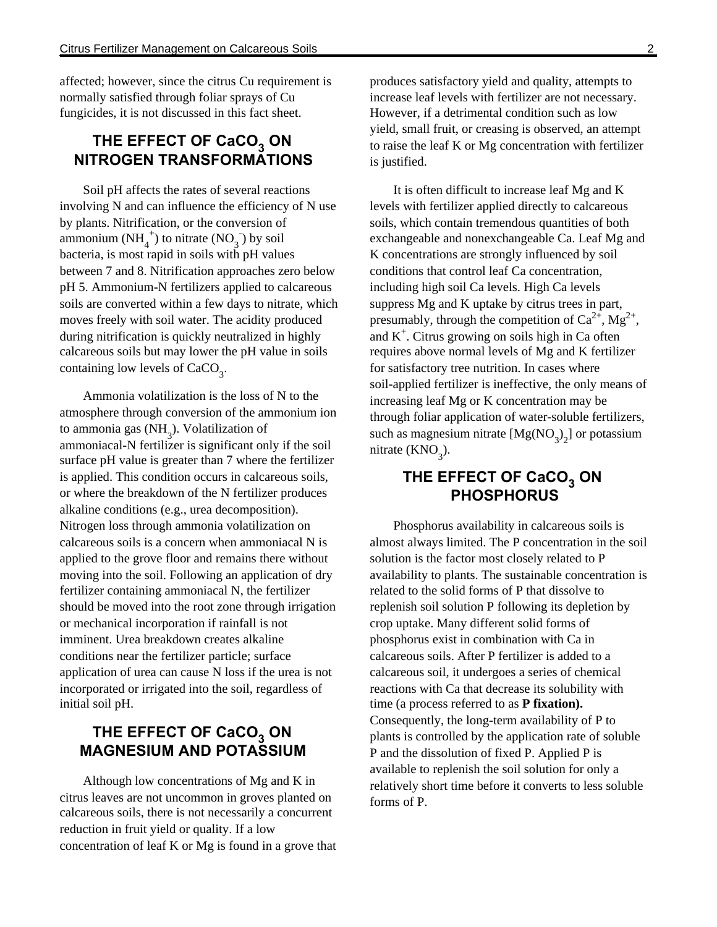affected; however, since the citrus Cu requirement is normally satisfied through foliar sprays of Cu fungicides, it is not discussed in this fact sheet.

# **THE EFFECT OF CaCO<sub>3</sub> ON NITROGEN TRANSFORMATIONS**

Soil pH affects the rates of several reactions involving N and can influence the efficiency of N use by plants. Nitrification, or the conversion of ammonium  $(NH_4^+)$  to nitrate  $(NO_3^-)$  by soil bacteria, is most rapid in soils with pH values between 7 and 8. Nitrification approaches zero below pH 5. Ammonium-N fertilizers applied to calcareous soils are converted within a few days to nitrate, which moves freely with soil water. The acidity produced during nitrification is quickly neutralized in highly calcareous soils but may lower the pH value in soils containing low levels of  $CaCO<sub>3</sub>$ .

Ammonia volatilization is the loss of N to the atmosphere through conversion of the ammonium ion to ammonia gas  $(NH_3)$ . Volatilization of ammoniacal-N fertilizer is significant only if the soil surface pH value is greater than 7 where the fertilizer is applied. This condition occurs in calcareous soils, or where the breakdown of the N fertilizer produces alkaline conditions (e.g., urea decomposition). Nitrogen loss through ammonia volatilization on calcareous soils is a concern when ammoniacal N is applied to the grove floor and remains there without moving into the soil. Following an application of dry fertilizer containing ammoniacal N, the fertilizer should be moved into the root zone through irrigation or mechanical incorporation if rainfall is not imminent. Urea breakdown creates alkaline conditions near the fertilizer particle; surface application of urea can cause N loss if the urea is not incorporated or irrigated into the soil, regardless of initial soil pH.

# **THE EFFECT OF CaCO<sub>3</sub> ON MAGNESIUM AND POTASSIUM**

Although low concentrations of Mg and K in citrus leaves are not uncommon in groves planted on calcareous soils, there is not necessarily a concurrent reduction in fruit yield or quality. If a low concentration of leaf K or Mg is found in a grove that produces satisfactory yield and quality, attempts to increase leaf levels with fertilizer are not necessary. However, if a detrimental condition such as low yield, small fruit, or creasing is observed, an attempt to raise the leaf K or Mg concentration with fertilizer is justified.

It is often difficult to increase leaf Mg and K levels with fertilizer applied directly to calcareous soils, which contain tremendous quantities of both exchangeable and nonexchangeable Ca. Leaf Mg and K concentrations are strongly influenced by soil conditions that control leaf Ca concentration, including high soil Ca levels. High Ca levels suppress Mg and K uptake by citrus trees in part, presumably, through the competition of  $Ca^{2+}$ ,  $Mg^{2+}$ , and  $K^+$ . Citrus growing on soils high in Ca often requires above normal levels of Mg and K fertilizer for satisfactory tree nutrition. In cases where soil-applied fertilizer is ineffective, the only means of increasing leaf Mg or K concentration may be through foliar application of water-soluble fertilizers, such as magnesium nitrate  $[Mg(NO<sub>3</sub>)<sub>2</sub>]$  or potassium nitrate  $(KNO_3)$ .

# **THE EFFECT OF CaCO<sup>3</sup> ON PHOSPHORUS**

Phosphorus availability in calcareous soils is almost always limited. The P concentration in the soil solution is the factor most closely related to P availability to plants. The sustainable concentration is related to the solid forms of P that dissolve to replenish soil solution P following its depletion by crop uptake. Many different solid forms of phosphorus exist in combination with Ca in calcareous soils. After P fertilizer is added to a calcareous soil, it undergoes a series of chemical reactions with Ca that decrease its solubility with time (a process referred to as **P fixation).** Consequently, the long-term availability of P to plants is controlled by the application rate of soluble P and the dissolution of fixed P. Applied P is available to replenish the soil solution for only a relatively short time before it converts to less soluble forms of P.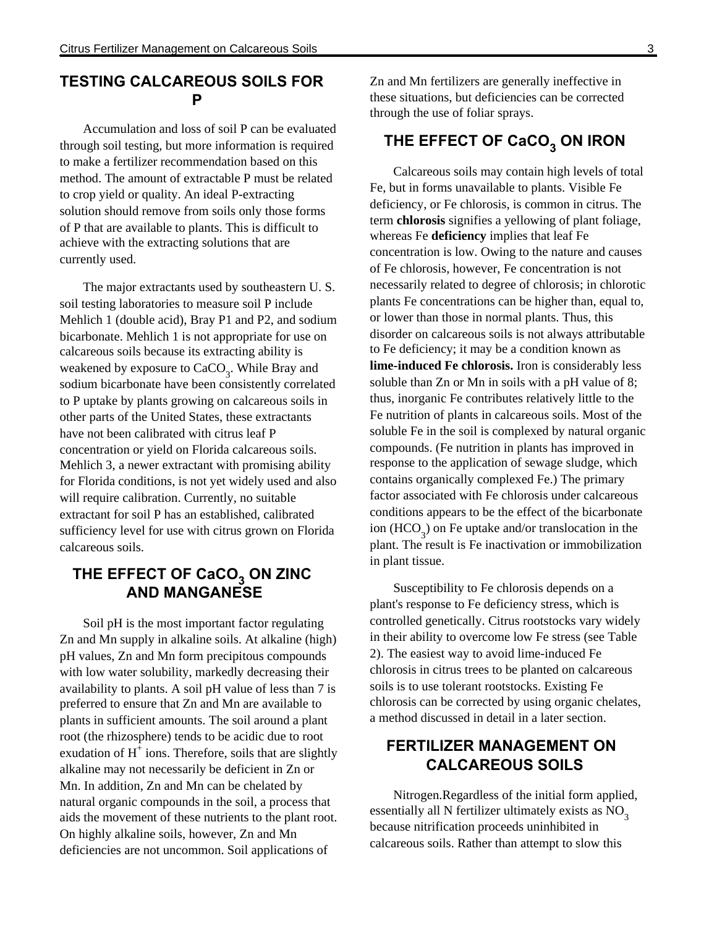#### **TESTING CALCAREOUS SOILS FOR P**

Accumulation and loss of soil P can be evaluated through soil testing, but more information is required to make a fertilizer recommendation based on this method. The amount of extractable P must be related to crop yield or quality. An ideal P-extracting solution should remove from soils only those forms of P that are available to plants. This is difficult to achieve with the extracting solutions that are currently used.

The major extractants used by southeastern U. S. soil testing laboratories to measure soil P include Mehlich 1 (double acid), Bray P1 and P2, and sodium bicarbonate. Mehlich 1 is not appropriate for use on calcareous soils because its extracting ability is weakened by exposure to  $CaCO_3$ . While Bray and sodium bicarbonate have been consistently correlated to P uptake by plants growing on calcareous soils in other parts of the United States, these extractants have not been calibrated with citrus leaf P concentration or yield on Florida calcareous soils. Mehlich 3, a newer extractant with promising ability for Florida conditions, is not yet widely used and also will require calibration. Currently, no suitable extractant for soil P has an established, calibrated sufficiency level for use with citrus grown on Florida calcareous soils.

# **THE EFFECT OF CaCO<sub>3</sub> ON ZINC AND MANGANESE**

Soil pH is the most important factor regulating Zn and Mn supply in alkaline soils. At alkaline (high) pH values, Zn and Mn form precipitous compounds with low water solubility, markedly decreasing their availability to plants. A soil pH value of less than 7 is preferred to ensure that Zn and Mn are available to plants in sufficient amounts. The soil around a plant root (the rhizosphere) tends to be acidic due to root exudation of  $H^+$  ions. Therefore, soils that are slightly alkaline may not necessarily be deficient in Zn or Mn. In addition, Zn and Mn can be chelated by natural organic compounds in the soil, a process that aids the movement of these nutrients to the plant root. On highly alkaline soils, however, Zn and Mn deficiencies are not uncommon. Soil applications of

Zn and Mn fertilizers are generally ineffective in these situations, but deficiencies can be corrected through the use of foliar sprays.

# **THE EFFECT OF CaCO<sup>3</sup> ON IRON**

Calcareous soils may contain high levels of total Fe, but in forms unavailable to plants. Visible Fe deficiency, or Fe chlorosis, is common in citrus. The term **chlorosis** signifies a yellowing of plant foliage, whereas Fe **deficiency** implies that leaf Fe concentration is low. Owing to the nature and causes of Fe chlorosis, however, Fe concentration is not necessarily related to degree of chlorosis; in chlorotic plants Fe concentrations can be higher than, equal to, or lower than those in normal plants. Thus, this disorder on calcareous soils is not always attributable to Fe deficiency; it may be a condition known as **lime-induced Fe chlorosis.** Iron is considerably less soluble than Zn or Mn in soils with a pH value of 8; thus, inorganic Fe contributes relatively little to the Fe nutrition of plants in calcareous soils. Most of the soluble Fe in the soil is complexed by natural organic compounds. (Fe nutrition in plants has improved in response to the application of sewage sludge, which contains organically complexed Fe.) The primary factor associated with Fe chlorosis under calcareous conditions appears to be the effect of the bicarbonate ion  $(HCO<sub>3</sub>)$  on Fe uptake and/or translocation in the plant. The result is Fe inactivation or immobilization in plant tissue.

Susceptibility to Fe chlorosis depends on a plant's response to Fe deficiency stress, which is controlled genetically. Citrus rootstocks vary widely in their ability to overcome low Fe stress (see Table 2). The easiest way to avoid lime-induced Fe chlorosis in citrus trees to be planted on calcareous soils is to use tolerant rootstocks. Existing Fe chlorosis can be corrected by using organic chelates, a method discussed in detail in a later section.

# **FERTILIZER MANAGEMENT ON CALCAREOUS SOILS**

Nitrogen.Regardless of the initial form applied, essentially all N fertilizer ultimately exists as  $NO<sub>3</sub>$ because nitrification proceeds uninhibited in calcareous soils. Rather than attempt to slow this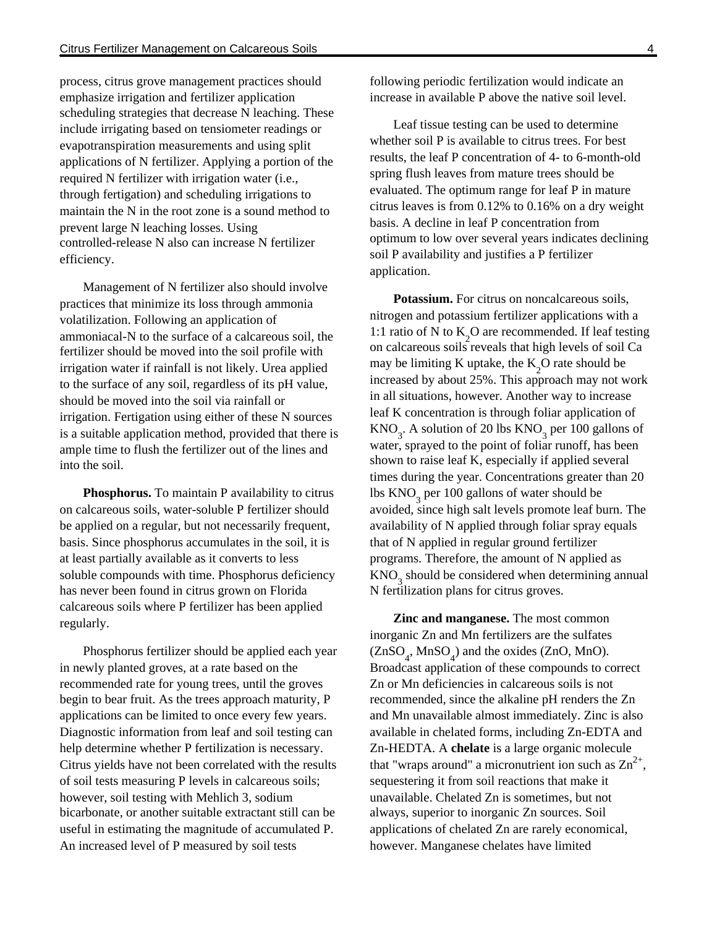process, citrus grove management practices should emphasize irrigation and fertilizer application scheduling strategies that decrease N leaching. These include irrigating based on tensiometer readings or evapotranspiration measurements and using split applications of N fertilizer. Applying a portion of the required N fertilizer with irrigation water (i.e., through fertigation) and scheduling irrigations to maintain the N in the root zone is a sound method to prevent large N leaching losses. Using controlled-release N also can increase N fertilizer efficiency.

Management of N fertilizer also should involve practices that minimize its loss through ammonia volatilization. Following an application of ammoniacal-N to the surface of a calcareous soil, the fertilizer should be moved into the soil profile with irrigation water if rainfall is not likely. Urea applied to the surface of any soil, regardless of its pH value, should be moved into the soil via rainfall or irrigation. Fertigation using either of these N sources is a suitable application method, provided that there is ample time to flush the fertilizer out of the lines and into the soil.

**Phosphorus.** To maintain P availability to citrus on calcareous soils, water-soluble P fertilizer should be applied on a regular, but not necessarily frequent, basis. Since phosphorus accumulates in the soil, it is at least partially available as it converts to less soluble compounds with time. Phosphorus deficiency has never been found in citrus grown on Florida calcareous soils where P fertilizer has been applied regularly.

Phosphorus fertilizer should be applied each year in newly planted groves, at a rate based on the recommended rate for young trees, until the groves begin to bear fruit. As the trees approach maturity, P applications can be limited to once every few years. Diagnostic information from leaf and soil testing can help determine whether P fertilization is necessary. Citrus yields have not been correlated with the results of soil tests measuring P levels in calcareous soils; however, soil testing with Mehlich 3, sodium bicarbonate, or another suitable extractant still can be useful in estimating the magnitude of accumulated P. An increased level of P measured by soil tests

following periodic fertilization would indicate an increase in available P above the native soil level.

Leaf tissue testing can be used to determine whether soil P is available to citrus trees. For best results, the leaf P concentration of 4- to 6-month-old spring flush leaves from mature trees should be evaluated. The optimum range for leaf P in mature citrus leaves is from 0.12% to 0.16% on a dry weight basis. A decline in leaf P concentration from optimum to low over several years indicates declining soil P availability and justifies a P fertilizer application.

**Potassium.** For citrus on noncalcareous soils, nitrogen and potassium fertilizer applications with a 1:1 ratio of N to  $K_2O$  are recommended. If leaf testing on calcareous soils reveals that high levels of soil Ca may be limiting K uptake, the  $K_2O$  rate should be increased by about 25%. This approach may not work in all situations, however. Another way to increase leaf K concentration is through foliar application of  $\text{KNO}_3$ . A solution of 20 lbs  $\text{KNO}_3$  per 100 gallons of water, sprayed to the point of foliar runoff, has been shown to raise leaf K, especially if applied several times during the year. Concentrations greater than 20 lbs  $\mathrm{KNO}_3^{}$  per 100 gallons of water should be avoided, since high salt levels promote leaf burn. The availability of N applied through foliar spray equals that of N applied in regular ground fertilizer programs. Therefore, the amount of N applied as  $KNO<sub>3</sub>$  should be considered when determining annual N fertilization plans for citrus groves.

**Zinc and manganese.** The most common inorganic Zn and Mn fertilizers are the sulfates  $(ZnSO_4, MnSO_4)$  and the oxides (ZnO, MnO). Broadcast application of these compounds to correct Zn or Mn deficiencies in calcareous soils is not recommended, since the alkaline pH renders the Zn and Mn unavailable almost immediately. Zinc is also available in chelated forms, including Zn-EDTA and Zn-HEDTA. A **chelate** is a large organic molecule that "wraps around" a micronutrient ion such as  $Zn^{2+}$ , sequestering it from soil reactions that make it unavailable. Chelated Zn is sometimes, but not always, superior to inorganic Zn sources. Soil applications of chelated Zn are rarely economical, however. Manganese chelates have limited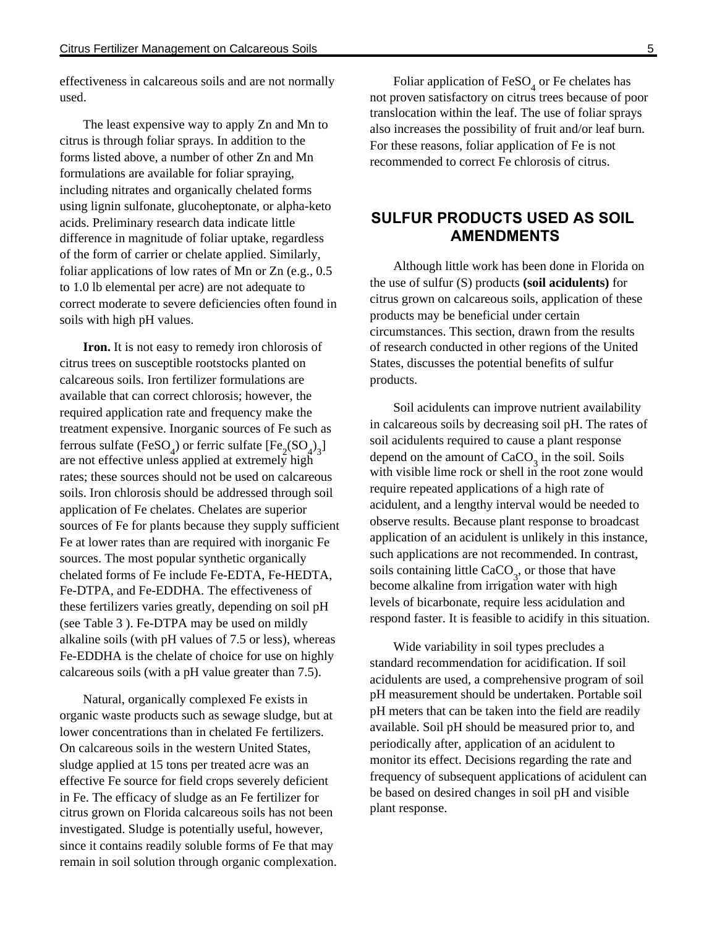effectiveness in calcareous soils and are not normally used.

The least expensive way to apply Zn and Mn to citrus is through foliar sprays. In addition to the forms listed above, a number of other Zn and Mn formulations are available for foliar spraying, including nitrates and organically chelated forms using lignin sulfonate, glucoheptonate, or alpha-keto acids. Preliminary research data indicate little difference in magnitude of foliar uptake, regardless of the form of carrier or chelate applied. Similarly, foliar applications of low rates of Mn or Zn (e.g., 0.5 to 1.0 lb elemental per acre) are not adequate to correct moderate to severe deficiencies often found in soils with high pH values.

**Iron.** It is not easy to remedy iron chlorosis of citrus trees on susceptible rootstocks planted on calcareous soils. Iron fertilizer formulations are available that can correct chlorosis; however, the required application rate and frequency make the treatment expensive. Inorganic sources of Fe such as ferrous sulfate (FeSO<sub>4</sub>) or ferric sulfate [Fe<sub>2</sub>(SO<sub>4</sub>)<sub>3</sub>] are not effective unless applied at extremely high rates; these sources should not be used on calcareous soils. Iron chlorosis should be addressed through soil application of Fe chelates. Chelates are superior sources of Fe for plants because they supply sufficient Fe at lower rates than are required with inorganic Fe sources. The most popular synthetic organically chelated forms of Fe include Fe-EDTA, Fe-HEDTA, Fe-DTPA, and Fe-EDDHA. The effectiveness of these fertilizers varies greatly, depending on soil pH (see Table 3 ). Fe-DTPA may be used on mildly alkaline soils (with pH values of 7.5 or less), whereas Fe-EDDHA is the chelate of choice for use on highly calcareous soils (with a pH value greater than 7.5).

Natural, organically complexed Fe exists in organic waste products such as sewage sludge, but at lower concentrations than in chelated Fe fertilizers. On calcareous soils in the western United States, sludge applied at 15 tons per treated acre was an effective Fe source for field crops severely deficient in Fe. The efficacy of sludge as an Fe fertilizer for citrus grown on Florida calcareous soils has not been investigated. Sludge is potentially useful, however, since it contains readily soluble forms of Fe that may remain in soil solution through organic complexation.

Foliar application of  $\text{FeSO}_4$  or Fe chelates has not proven satisfactory on citrus trees because of poor translocation within the leaf. The use of foliar sprays also increases the possibility of fruit and/or leaf burn. For these reasons, foliar application of Fe is not recommended to correct Fe chlorosis of citrus.

# **SULFUR PRODUCTS USED AS SOIL AMENDMENTS**

Although little work has been done in Florida on the use of sulfur (S) products **(soil acidulents)** for citrus grown on calcareous soils, application of these products may be beneficial under certain circumstances. This section, drawn from the results of research conducted in other regions of the United States, discusses the potential benefits of sulfur products.

Soil acidulents can improve nutrient availability in calcareous soils by decreasing soil pH. The rates of soil acidulents required to cause a plant response depend on the amount of  $CaCO<sub>3</sub>$  in the soil. Soils with visible lime rock or shell in the root zone would require repeated applications of a high rate of acidulent, and a lengthy interval would be needed to observe results. Because plant response to broadcast application of an acidulent is unlikely in this instance, such applications are not recommended. In contrast, soils containing little  $CaCO<sub>3</sub>$ , or those that have become alkaline from irrigation water with high levels of bicarbonate, require less acidulation and respond faster. It is feasible to acidify in this situation.

Wide variability in soil types precludes a standard recommendation for acidification. If soil acidulents are used, a comprehensive program of soil pH measurement should be undertaken. Portable soil pH meters that can be taken into the field are readily available. Soil pH should be measured prior to, and periodically after, application of an acidulent to monitor its effect. Decisions regarding the rate and frequency of subsequent applications of acidulent can be based on desired changes in soil pH and visible plant response.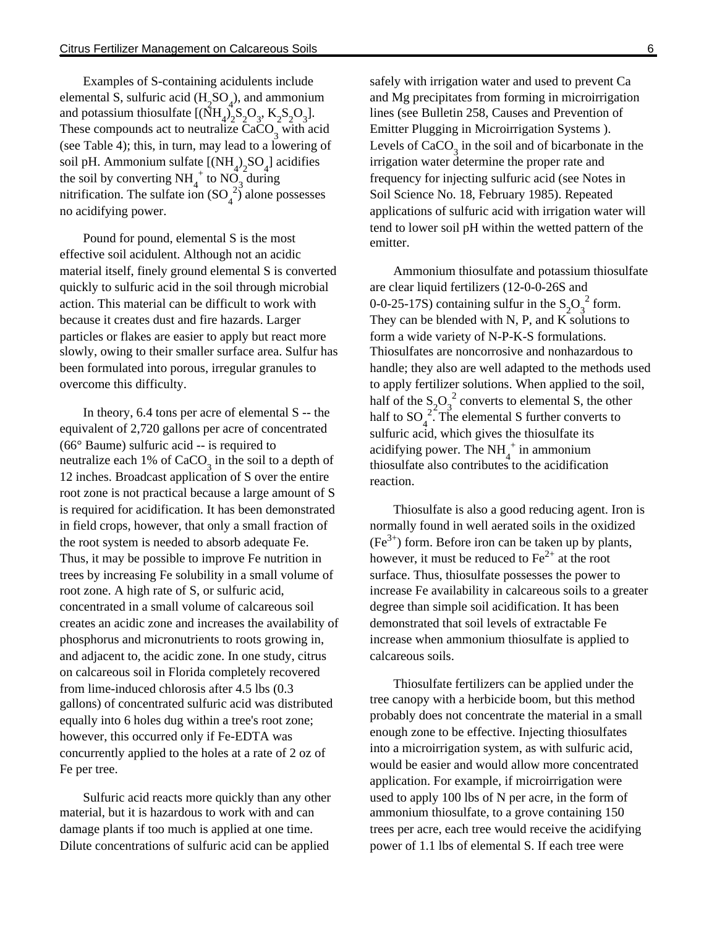Examples of S-containing acidulents include elemental S, sulfuric acid  $(H_2SO_4)$ , and ammonium and potassium thiosulfate  $[(\bar{N}H_4)_2S_2O_3, K_2S_2O_3]$ . These compounds act to neutralize  $CaCO<sub>3</sub>$  with acid (see Table 4); this, in turn, may lead to a lowering of soil pH. Ammonium sulfate  $[(NH_4)_2SO_4]$  acidifies the soil by converting NH<sub>4</sub><sup>+</sup> to NO<sub>3</sub> during mitrification. The sulfate ion  $(SO_4^2)$  alone possesses no acidifying power.

Pound for pound, elemental S is the most effective soil acidulent. Although not an acidic material itself, finely ground elemental S is converted quickly to sulfuric acid in the soil through microbial action. This material can be difficult to work with because it creates dust and fire hazards. Larger particles or flakes are easier to apply but react more slowly, owing to their smaller surface area. Sulfur has been formulated into porous, irregular granules to overcome this difficulty.

In theory, 6.4 tons per acre of elemental S -- the equivalent of 2,720 gallons per acre of concentrated (66° Baume) sulfuric acid -- is required to neutralize each 1% of  $CaCO<sub>3</sub>$  in the soil to a depth of 12 inches. Broadcast application of S over the entire root zone is not practical because a large amount of S is required for acidification. It has been demonstrated in field crops, however, that only a small fraction of the root system is needed to absorb adequate Fe. Thus, it may be possible to improve Fe nutrition in trees by increasing Fe solubility in a small volume of root zone. A high rate of S, or sulfuric acid, concentrated in a small volume of calcareous soil creates an acidic zone and increases the availability of phosphorus and micronutrients to roots growing in, and adjacent to, the acidic zone. In one study, citrus on calcareous soil in Florida completely recovered from lime-induced chlorosis after 4.5 lbs (0.3 gallons) of concentrated sulfuric acid was distributed equally into 6 holes dug within a tree's root zone; however, this occurred only if Fe-EDTA was concurrently applied to the holes at a rate of 2 oz of Fe per tree.

Sulfuric acid reacts more quickly than any other material, but it is hazardous to work with and can damage plants if too much is applied at one time. Dilute concentrations of sulfuric acid can be applied

safely with irrigation water and used to prevent Ca and Mg precipitates from forming in microirrigation lines (see Bulletin 258, Causes and Prevention of Emitter Plugging in Microirrigation Systems ). Levels of  $CaCO<sub>3</sub>$  in the soil and of bicarbonate in the irrigation water determine the proper rate and frequency for injecting sulfuric acid (see Notes in Soil Science No. 18, February 1985). Repeated applications of sulfuric acid with irrigation water will tend to lower soil pH within the wetted pattern of the emitter.

Ammonium thiosulfate and potassium thiosulfate are clear liquid fertilizers (12-0-0-26S and 0-0-25-17S) containing sulfur in the  $S_2O_3^2$  form. They can be blended with N, P, and  $K$  solutions to form a wide variety of N-P-K-S formulations. Thiosulfates are noncorrosive and nonhazardous to handle; they also are well adapted to the methods used to apply fertilizer solutions. When applied to the soil, half of the  $S_2O_3^2$  converts to elemental S, the other half to SO<sub>4</sub><sup>2</sup>. The elemental S further converts to sulfuric acid, which gives the thiosulfate its acidifying power. The  $NH_4^+$  in ammonium thiosulfate also contributes to the acidification reaction.

Thiosulfate is also a good reducing agent. Iron is normally found in well aerated soils in the oxidized  $(Fe<sup>3+</sup>)$  form. Before iron can be taken up by plants, however, it must be reduced to  $Fe<sup>2+</sup>$  at the root surface. Thus, thiosulfate possesses the power to increase Fe availability in calcareous soils to a greater degree than simple soil acidification. It has been demonstrated that soil levels of extractable Fe increase when ammonium thiosulfate is applied to calcareous soils.

Thiosulfate fertilizers can be applied under the tree canopy with a herbicide boom, but this method probably does not concentrate the material in a small enough zone to be effective. Injecting thiosulfates into a microirrigation system, as with sulfuric acid, would be easier and would allow more concentrated application. For example, if microirrigation were used to apply 100 lbs of N per acre, in the form of ammonium thiosulfate, to a grove containing 150 trees per acre, each tree would receive the acidifying power of 1.1 lbs of elemental S. If each tree were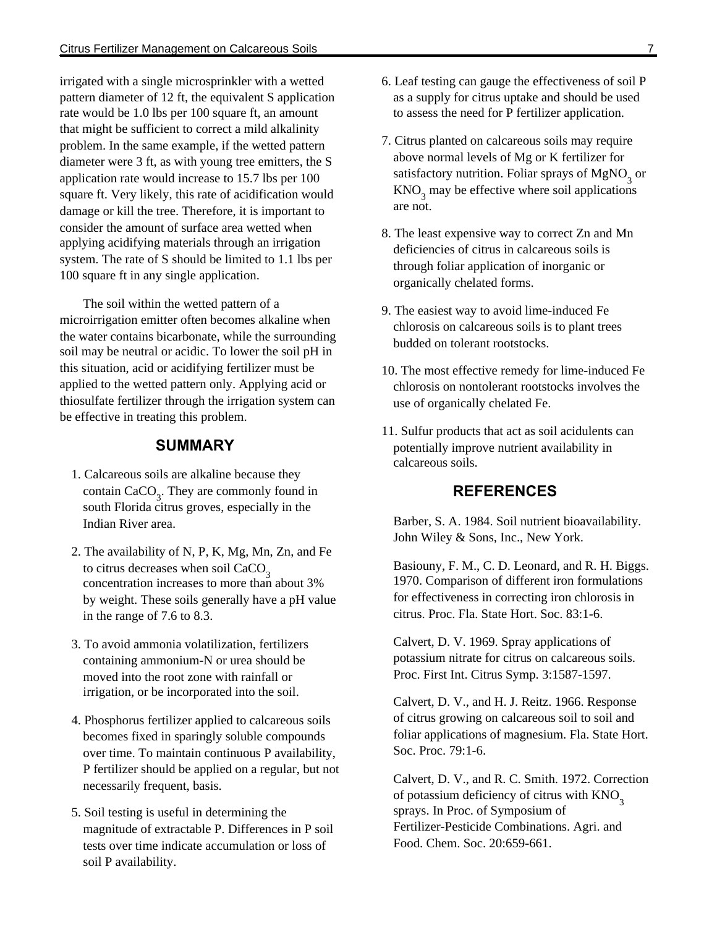irrigated with a single microsprinkler with a wetted pattern diameter of 12 ft, the equivalent S application rate would be 1.0 lbs per 100 square ft, an amount that might be sufficient to correct a mild alkalinity problem. In the same example, if the wetted pattern diameter were 3 ft, as with young tree emitters, the S application rate would increase to 15.7 lbs per 100 square ft. Very likely, this rate of acidification would damage or kill the tree. Therefore, it is important to consider the amount of surface area wetted when applying acidifying materials through an irrigation system. The rate of S should be limited to 1.1 lbs per 100 square ft in any single application.

The soil within the wetted pattern of a microirrigation emitter often becomes alkaline when the water contains bicarbonate, while the surrounding soil may be neutral or acidic. To lower the soil pH in this situation, acid or acidifying fertilizer must be applied to the wetted pattern only. Applying acid or thiosulfate fertilizer through the irrigation system can be effective in treating this problem.

#### **SUMMARY**

- 1. Calcareous soils are alkaline because they contain  $CaCO<sub>3</sub>$ . They are commonly found in south Florida citrus groves, especially in the Indian River area.
- 2. The availability of N, P, K, Mg, Mn, Zn, and Fe to citrus decreases when soil  $CaCO<sub>2</sub>$ concentration increases to more than about 3% by weight. These soils generally have a pH value in the range of 7.6 to 8.3.
- 3. To avoid ammonia volatilization, fertilizers containing ammonium-N or urea should be moved into the root zone with rainfall or irrigation, or be incorporated into the soil.
- 4. Phosphorus fertilizer applied to calcareous soils becomes fixed in sparingly soluble compounds over time. To maintain continuous P availability, P fertilizer should be applied on a regular, but not necessarily frequent, basis.
- 5. Soil testing is useful in determining the magnitude of extractable P. Differences in P soil tests over time indicate accumulation or loss of soil P availability.
- 6. Leaf testing can gauge the effectiveness of soil P as a supply for citrus uptake and should be used to assess the need for P fertilizer application.
- 7. Citrus planted on calcareous soils may require above normal levels of Mg or K fertilizer for satisfactory nutrition. Foliar sprays of  $\mathrm{MgNO}_{3}^{\vphantom{1}}$  or  $\text{KNO}_3$  may be effective where soil applications are not.
- 8. The least expensive way to correct Zn and Mn deficiencies of citrus in calcareous soils is through foliar application of inorganic or organically chelated forms.
- 9. The easiest way to avoid lime-induced Fe chlorosis on calcareous soils is to plant trees budded on tolerant rootstocks.
- 10. The most effective remedy for lime-induced Fe chlorosis on nontolerant rootstocks involves the use of organically chelated Fe.
- 11. Sulfur products that act as soil acidulents can potentially improve nutrient availability in calcareous soils.

#### **REFERENCES**

Barber, S. A. 1984. Soil nutrient bioavailability. John Wiley & Sons, Inc., New York.

Basiouny, F. M., C. D. Leonard, and R. H. Biggs. 1970. Comparison of different iron formulations for effectiveness in correcting iron chlorosis in citrus. Proc. Fla. State Hort. Soc. 83:1-6.

Calvert, D. V. 1969. Spray applications of potassium nitrate for citrus on calcareous soils. Proc. First Int. Citrus Symp. 3:1587-1597.

Calvert, D. V., and H. J. Reitz. 1966. Response of citrus growing on calcareous soil to soil and foliar applications of magnesium. Fla. State Hort. Soc. Proc. 79:1-6.

Calvert, D. V., and R. C. Smith. 1972. Correction of potassium deficiency of citrus with KNO<sub>2</sub> sprays. In Proc. of Symposium of Fertilizer-Pesticide Combinations. Agri. and Food. Chem. Soc. 20:659-661.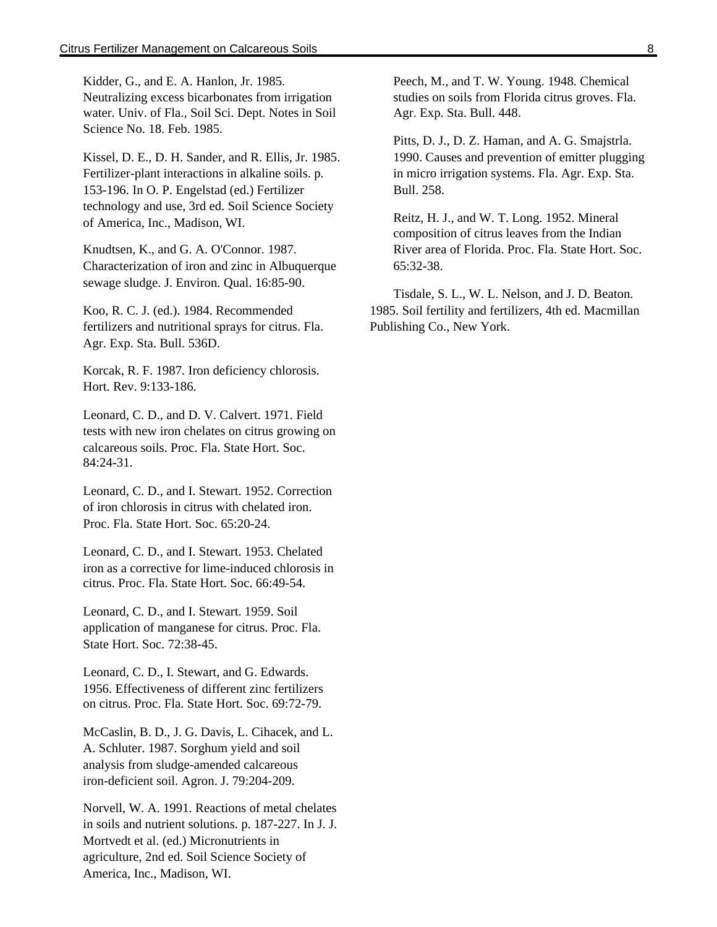Kidder, G., and E. A. Hanlon, Jr. 1985. Neutralizing excess bicarbonates from irrigation water. Univ. of Fla., Soil Sci. Dept. Notes in Soil Science No. 18. Feb. 1985.

Kissel, D. E., D. H. Sander, and R. Ellis, Jr. 1985. Fertilizer-plant interactions in alkaline soils. p. 153-196. In O. P. Engelstad (ed.) Fertilizer technology and use, 3rd ed. Soil Science Society of America, Inc., Madison, WI.

Knudtsen, K., and G. A. O'Connor. 1987. Characterization of iron and zinc in Albuquerque sewage sludge. J. Environ. Qual. 16:85-90.

Koo, R. C. J. (ed.). 1984. Recommended fertilizers and nutritional sprays for citrus. Fla. Agr. Exp. Sta. Bull. 536D.

Korcak, R. F. 1987. Iron deficiency chlorosis. Hort. Rev. 9:133-186.

Leonard, C. D., and D. V. Calvert. 1971. Field tests with new iron chelates on citrus growing on calcareous soils. Proc. Fla. State Hort. Soc. 84:24-31.

Leonard, C. D., and I. Stewart. 1952. Correction of iron chlorosis in citrus with chelated iron. Proc. Fla. State Hort. Soc. 65:20-24.

Leonard, C. D., and I. Stewart. 1953. Chelated iron as a corrective for lime-induced chlorosis in citrus. Proc. Fla. State Hort. Soc. 66:49-54.

Leonard, C. D., and I. Stewart. 1959. Soil application of manganese for citrus. Proc. Fla. State Hort. Soc. 72:38-45.

Leonard, C. D., I. Stewart, and G. Edwards. 1956. Effectiveness of different zinc fertilizers on citrus. Proc. Fla. State Hort. Soc. 69:72-79.

McCaslin, B. D., J. G. Davis, L. Cihacek, and L. A. Schluter. 1987. Sorghum yield and soil analysis from sludge-amended calcareous iron-deficient soil. Agron. J. 79:204-209.

Norvell, W. A. 1991. Reactions of metal chelates in soils and nutrient solutions. p. 187-227. In J. J. Mortvedt et al. (ed.) Micronutrients in agriculture, 2nd ed. Soil Science Society of America, Inc., Madison, WI.

Peech, M., and T. W. Young. 1948. Chemical studies on soils from Florida citrus groves. Fla. Agr. Exp. Sta. Bull. 448.

Pitts, D. J., D. Z. Haman, and A. G. Smajstrla. 1990. Causes and prevention of emitter plugging in micro irrigation systems. Fla. Agr. Exp. Sta. Bull. 258.

Reitz, H. J., and W. T. Long. 1952. Mineral composition of citrus leaves from the Indian River area of Florida. Proc. Fla. State Hort. Soc. 65:32-38.

Tisdale, S. L., W. L. Nelson, and J. D. Beaton. 1985. Soil fertility and fertilizers, 4th ed. Macmillan Publishing Co., New York.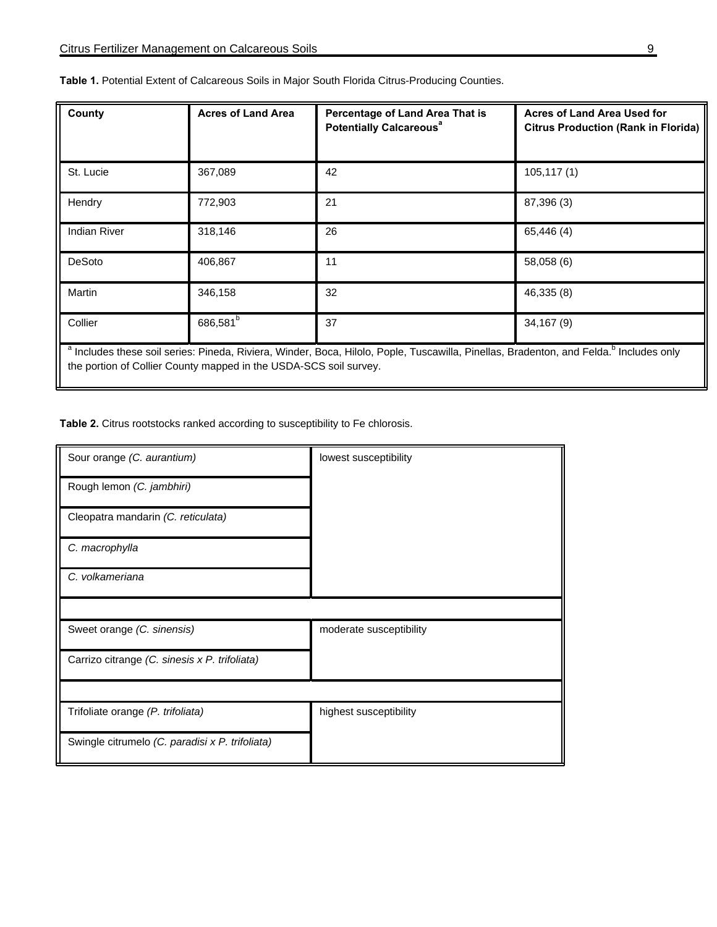| County                                                                                                                                                                                                                             | <b>Acres of Land Area</b> | Percentage of Land Area That is<br><b>Potentially Calcareous<sup>ª</sup></b> | <b>Acres of Land Area Used for</b><br><b>Citrus Production (Rank in Florida)</b> |  |
|------------------------------------------------------------------------------------------------------------------------------------------------------------------------------------------------------------------------------------|---------------------------|------------------------------------------------------------------------------|----------------------------------------------------------------------------------|--|
| St. Lucie                                                                                                                                                                                                                          | 367,089                   | 42                                                                           | 105, 117(1)                                                                      |  |
| Hendry                                                                                                                                                                                                                             | 772,903                   | 21                                                                           | 87,396 (3)                                                                       |  |
| <b>Indian River</b>                                                                                                                                                                                                                | 318,146                   | 26                                                                           | 65,446 (4)                                                                       |  |
| DeSoto                                                                                                                                                                                                                             | 406,867                   | 11                                                                           | 58,058 (6)                                                                       |  |
| Martin                                                                                                                                                                                                                             | 346,158                   | 32                                                                           | 46,335 (8)                                                                       |  |
| Collier                                                                                                                                                                                                                            | 686,581 <sup>b</sup>      | 37                                                                           | 34,167 (9)                                                                       |  |
| <sup>a</sup> Includes these soil series: Pineda, Riviera, Winder, Boca, Hilolo, Pople, Tuscawilla, Pinellas, Bradenton, and Felda. <sup>o</sup> Includes only<br>the portion of Collier County mapped in the USDA-SCS soil survey. |                           |                                                                              |                                                                                  |  |

**Table 1.** Potential Extent of Calcareous Soils in Major South Florida Citrus-Producing Counties.

**Table 2.** Citrus rootstocks ranked according to susceptibility to Fe chlorosis.

| Sour orange (C. aurantium)                      | lowest susceptibility   |
|-------------------------------------------------|-------------------------|
| Rough lemon (C. jambhiri)                       |                         |
| Cleopatra mandarin (C. reticulata)              |                         |
| C. macrophylla                                  |                         |
| C. volkameriana                                 |                         |
|                                                 |                         |
| Sweet orange (C. sinensis)                      | moderate susceptibility |
| Carrizo citrange (C. sinesis x P. trifoliata)   |                         |
|                                                 |                         |
| Trifoliate orange (P. trifoliata)               | highest susceptibility  |
| Swingle citrumelo (C. paradisi x P. trifoliata) |                         |